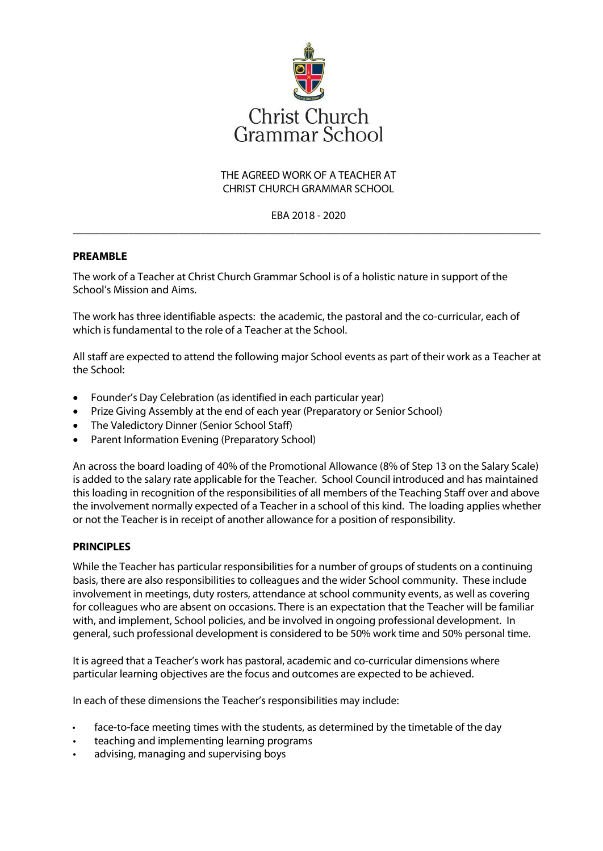

# THE AGREED WORK OF A TEACHER AT CHRIST CHURCH GRAMMAR SCHOOL

## EBA 2018 - 2020 \_\_\_\_\_\_\_\_\_\_\_\_\_\_\_\_\_\_\_\_\_\_\_\_\_\_\_\_\_\_\_\_\_\_\_\_\_\_\_\_\_\_\_\_\_\_\_\_\_\_\_\_\_\_\_\_\_\_\_\_\_\_\_\_\_\_\_\_\_\_\_\_\_\_\_\_\_\_\_\_\_\_\_\_

### **PREAMBLE**

The work of a Teacher at Christ Church Grammar School is of a holistic nature in support of the School's Mission and Aims.

The work has three identifiable aspects: the academic, the pastoral and the co-curricular, each of which is fundamental to the role of a Teacher at the School.

All staff are expected to attend the following major School events as part of their work as a Teacher at the School:

- Founder's Day Celebration (as identified in each particular year)
- Prize Giving Assembly at the end of each year (Preparatory or Senior School)
- The Valedictory Dinner (Senior School Staff)
- Parent Information Evening (Preparatory School)

An across the board loading of 40% of the Promotional Allowance (8% of Step 13 on the Salary Scale) is added to the salary rate applicable for the Teacher. School Council introduced and has maintained this loading in recognition of the responsibilities of all members of the Teaching Staff over and above the involvement normally expected of a Teacher in a school of this kind. The loading applies whether or not the Teacher is in receipt of another allowance for a position of responsibility.

#### **PRINCIPLES**

While the Teacher has particular responsibilities for a number of groups of students on a continuing basis, there are also responsibilities to colleagues and the wider School community. These include involvement in meetings, duty rosters, attendance at school community events, as well as covering for colleagues who are absent on occasions. There is an expectation that the Teacher will be familiar with, and implement, School policies, and be involved in ongoing professional development. In general, such professional development is considered to be 50% work time and 50% personal time.

It is agreed that a Teacher's work has pastoral, academic and co-curricular dimensions where particular learning objectives are the focus and outcomes are expected to be achieved.

In each of these dimensions the Teacher's responsibilities may include:

- face-to-face meeting times with the students, as determined by the timetable of the day
- teaching and implementing learning programs
- advising, managing and supervising boys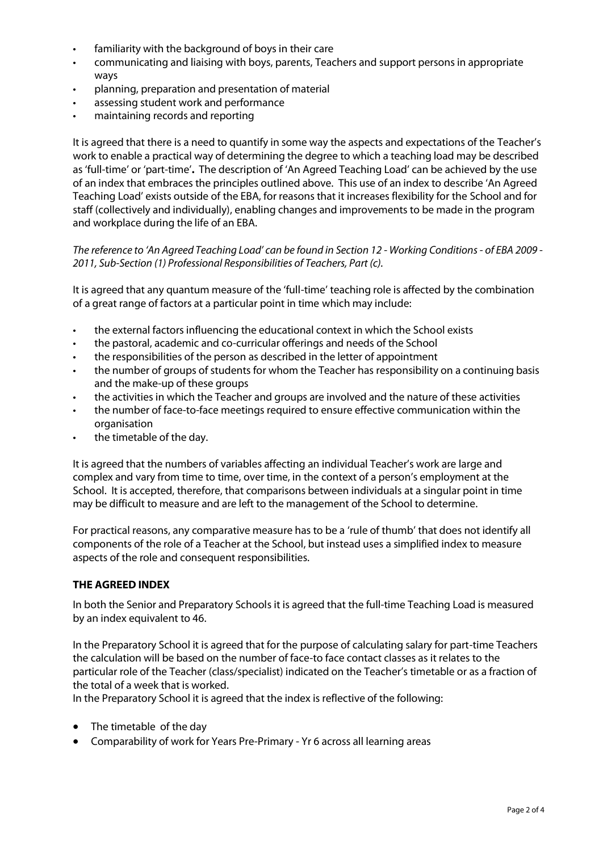- familiarity with the background of boys in their care
- communicating and liaising with boys, parents, Teachers and support persons in appropriate ways
- planning, preparation and presentation of material
- assessing student work and performance
- maintaining records and reporting

It is agreed that there is a need to quantify in some way the aspects and expectations of the Teacher's work to enable a practical way of determining the degree to which a teaching load may be described as 'full-time' or 'part-time'**.** The description of 'An Agreed Teaching Load' can be achieved by the use of an index that embraces the principles outlined above. This use of an index to describe 'An Agreed Teaching Load' exists outside of the EBA, for reasons that it increases flexibility for the School and for staff (collectively and individually), enabling changes and improvements to be made in the program and workplace during the life of an EBA.

*The reference to 'An Agreed Teaching Load' can be found in Section 12 - Working Conditions - of EBA 2009 - 2011, Sub-Section (1) Professional Responsibilities of Teachers, Part (c).*

It is agreed that any quantum measure of the 'full-time' teaching role is affected by the combination of a great range of factors at a particular point in time which may include:

- the external factors influencing the educational context in which the School exists
- the pastoral, academic and co-curricular offerings and needs of the School
- the responsibilities of the person as described in the letter of appointment
- the number of groups of students for whom the Teacher has responsibility on a continuing basis and the make-up of these groups
- the activities in which the Teacher and groups are involved and the nature of these activities
- the number of face-to-face meetings required to ensure effective communication within the organisation
- the timetable of the day.

It is agreed that the numbers of variables affecting an individual Teacher's work are large and complex and vary from time to time, over time, in the context of a person's employment at the School. It is accepted, therefore, that comparisons between individuals at a singular point in time may be difficult to measure and are left to the management of the School to determine.

For practical reasons, any comparative measure has to be a 'rule of thumb' that does not identify all components of the role of a Teacher at the School, but instead uses a simplified index to measure aspects of the role and consequent responsibilities.

### **THE AGREED INDEX**

In both the Senior and Preparatory Schools it is agreed that the full-time Teaching Load is measured by an index equivalent to 46.

In the Preparatory School it is agreed that for the purpose of calculating salary for part-time Teachers the calculation will be based on the number of face-to face contact classes as it relates to the particular role of the Teacher (class/specialist) indicated on the Teacher's timetable or as a fraction of the total of a week that is worked.

In the Preparatory School it is agreed that the index is reflective of the following:

- The timetable of the day
- Comparability of work for Years Pre-Primary Yr 6 across all learning areas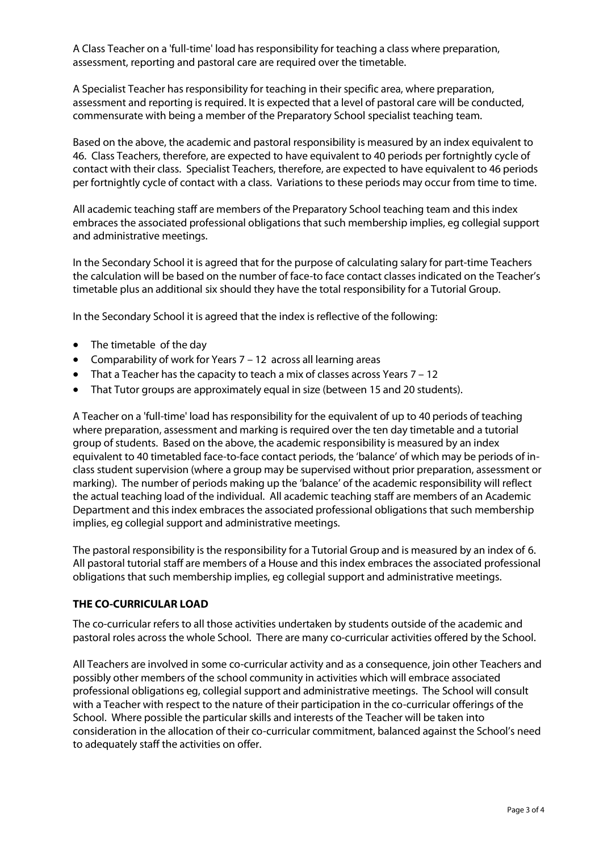A Class Teacher on a 'full-time' load has responsibility for teaching a class where preparation, assessment, reporting and pastoral care are required over the timetable.

A Specialist Teacher has responsibility for teaching in their specific area, where preparation, assessment and reporting is required. It is expected that a level of pastoral care will be conducted, commensurate with being a member of the Preparatory School specialist teaching team.

Based on the above, the academic and pastoral responsibility is measured by an index equivalent to 46. Class Teachers, therefore, are expected to have equivalent to 40 periods per fortnightly cycle of contact with their class. Specialist Teachers, therefore, are expected to have equivalent to 46 periods per fortnightly cycle of contact with a class. Variations to these periods may occur from time to time.

All academic teaching staff are members of the Preparatory School teaching team and this index embraces the associated professional obligations that such membership implies, eg collegial support and administrative meetings.

In the Secondary School it is agreed that for the purpose of calculating salary for part-time Teachers the calculation will be based on the number of face-to face contact classes indicated on the Teacher's timetable plus an additional six should they have the total responsibility for a Tutorial Group.

In the Secondary School it is agreed that the index is reflective of the following:

- The timetable of the day
- Comparability of work for Years 7 12 across all learning areas
- That a Teacher has the capacity to teach a mix of classes across Years 7 12
- That Tutor groups are approximately equal in size (between 15 and 20 students).

A Teacher on a 'full-time' load has responsibility for the equivalent of up to 40 periods of teaching where preparation, assessment and marking is required over the ten day timetable and a tutorial group of students. Based on the above, the academic responsibility is measured by an index equivalent to 40 timetabled face-to-face contact periods, the 'balance' of which may be periods of inclass student supervision (where a group may be supervised without prior preparation, assessment or marking). The number of periods making up the 'balance' of the academic responsibility will reflect the actual teaching load of the individual. All academic teaching staff are members of an Academic Department and this index embraces the associated professional obligations that such membership implies, eg collegial support and administrative meetings.

The pastoral responsibility is the responsibility for a Tutorial Group and is measured by an index of 6. All pastoral tutorial staff are members of a House and this index embraces the associated professional obligations that such membership implies, eg collegial support and administrative meetings.

#### **THE CO-CURRICULAR LOAD**

The co-curricular refers to all those activities undertaken by students outside of the academic and pastoral roles across the whole School. There are many co-curricular activities offered by the School.

All Teachers are involved in some co-curricular activity and as a consequence, join other Teachers and possibly other members of the school community in activities which will embrace associated professional obligations eg, collegial support and administrative meetings. The School will consult with a Teacher with respect to the nature of their participation in the co-curricular offerings of the School. Where possible the particular skills and interests of the Teacher will be taken into consideration in the allocation of their co-curricular commitment, balanced against the School's need to adequately staff the activities on offer.